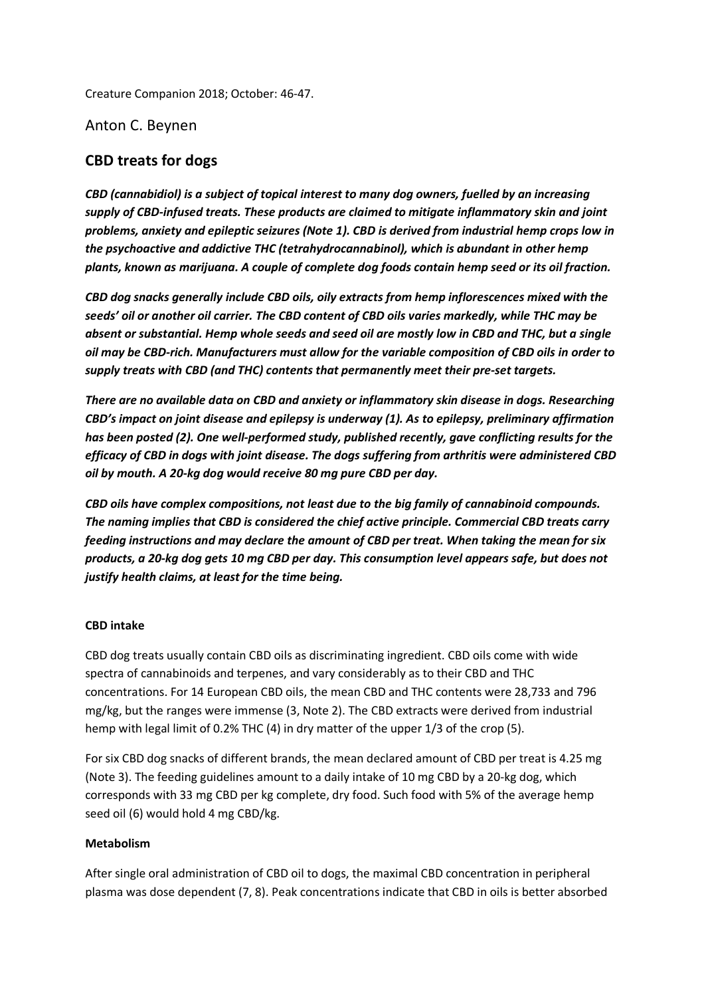Creature Companion 2018; October: 46-47.

Anton C. Beynen

# **CBD treats for dogs**

*CBD (cannabidiol) is a subject of topical interest to many dog owners, fuelled by an increasing supply of CBD-infused treats. These products are claimed to mitigate inflammatory skin and joint problems, anxiety and epileptic seizures (Note 1). CBD is derived from industrial hemp crops low in the psychoactive and addictive THC (tetrahydrocannabinol), which is abundant in other hemp plants, known as marijuana. A couple of complete dog foods contain hemp seed or its oil fraction.* 

*CBD dog snacks generally include CBD oils, oily extracts from hemp inflorescences mixed with the seeds' oil or another oil carrier. The CBD content of CBD oils varies markedly, while THC may be absent or substantial. Hemp whole seeds and seed oil are mostly low in CBD and THC, but a single oil may be CBD-rich. Manufacturers must allow for the variable composition of CBD oils in order to supply treats with CBD (and THC) contents that permanently meet their pre-set targets.* 

*There are no available data on CBD and anxiety or inflammatory skin disease in dogs. Researching CBD's impact on joint disease and epilepsy is underway (1). As to epilepsy, preliminary affirmation has been posted (2). One well-performed study, published recently, gave conflicting results for the efficacy of CBD in dogs with joint disease. The dogs suffering from arthritis were administered CBD oil by mouth. A 20-kg dog would receive 80 mg pure CBD per day.* 

*CBD oils have complex compositions, not least due to the big family of cannabinoid compounds. The naming implies that CBD is considered the chief active principle. Commercial CBD treats carry feeding instructions and may declare the amount of CBD per treat. When taking the mean for six products, a 20-kg dog gets 10 mg CBD per day. This consumption level appears safe, but does not justify health claims, at least for the time being.* 

#### **CBD intake**

CBD dog treats usually contain CBD oils as discriminating ingredient. CBD oils come with wide spectra of cannabinoids and terpenes, and vary considerably as to their CBD and THC concentrations. For 14 European CBD oils, the mean CBD and THC contents were 28,733 and 796 mg/kg, but the ranges were immense (3, Note 2). The CBD extracts were derived from industrial hemp with legal limit of 0.2% THC (4) in dry matter of the upper 1/3 of the crop (5).

For six CBD dog snacks of different brands, the mean declared amount of CBD per treat is 4.25 mg (Note 3). The feeding guidelines amount to a daily intake of 10 mg CBD by a 20-kg dog, which corresponds with 33 mg CBD per kg complete, dry food. Such food with 5% of the average hemp seed oil (6) would hold 4 mg CBD/kg.

#### **Metabolism**

After single oral administration of CBD oil to dogs, the maximal CBD concentration in peripheral plasma was dose dependent (7, 8). Peak concentrations indicate that CBD in oils is better absorbed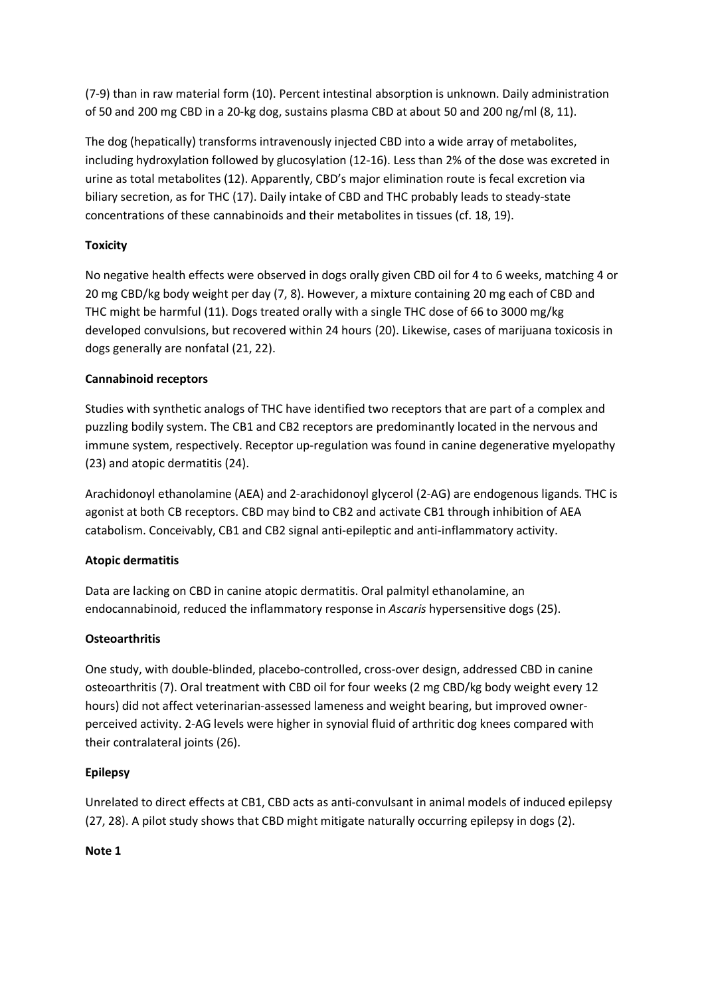(7-9) than in raw material form (10). Percent intestinal absorption is unknown. Daily administration of 50 and 200 mg CBD in a 20-kg dog, sustains plasma CBD at about 50 and 200 ng/ml (8, 11).

The dog (hepatically) transforms intravenously injected CBD into a wide array of metabolites, including hydroxylation followed by glucosylation (12-16). Less than 2% of the dose was excreted in urine as total metabolites (12). Apparently, CBD's major elimination route is fecal excretion via biliary secretion, as for THC (17). Daily intake of CBD and THC probably leads to steady-state concentrations of these cannabinoids and their metabolites in tissues (cf. 18, 19).

# **Toxicity**

No negative health effects were observed in dogs orally given CBD oil for 4 to 6 weeks, matching 4 or 20 mg CBD/kg body weight per day (7, 8). However, a mixture containing 20 mg each of CBD and THC might be harmful (11). Dogs treated orally with a single THC dose of 66 to 3000 mg/kg developed convulsions, but recovered within 24 hours (20). Likewise, cases of marijuana toxicosis in dogs generally are nonfatal (21, 22).

## **Cannabinoid receptors**

Studies with synthetic analogs of THC have identified two receptors that are part of a complex and puzzling bodily system. The CB1 and CB2 receptors are predominantly located in the nervous and immune system, respectively. Receptor up-regulation was found in canine degenerative myelopathy (23) and atopic dermatitis (24).

Arachidonoyl ethanolamine (AEA) and 2-arachidonoyl glycerol (2-AG) are endogenous ligands. THC is agonist at both CB receptors. CBD may bind to CB2 and activate CB1 through inhibition of AEA catabolism. Conceivably, CB1 and CB2 signal anti-epileptic and anti-inflammatory activity.

### **Atopic dermatitis**

Data are lacking on CBD in canine atopic dermatitis. Oral palmityl ethanolamine, an endocannabinoid, reduced the inflammatory response in *Ascaris* hypersensitive dogs (25).

### **Osteoarthritis**

One study, with double-blinded, placebo-controlled, cross-over design, addressed CBD in canine osteoarthritis (7). Oral treatment with CBD oil for four weeks (2 mg CBD/kg body weight every 12 hours) did not affect veterinarian-assessed lameness and weight bearing, but improved ownerperceived activity. 2-AG levels were higher in synovial fluid of arthritic dog knees compared with their contralateral joints (26).

### **Epilepsy**

Unrelated to direct effects at CB1, CBD acts as anti-convulsant in animal models of induced epilepsy (27, 28). A pilot study shows that CBD might mitigate naturally occurring epilepsy in dogs (2).

### **Note 1**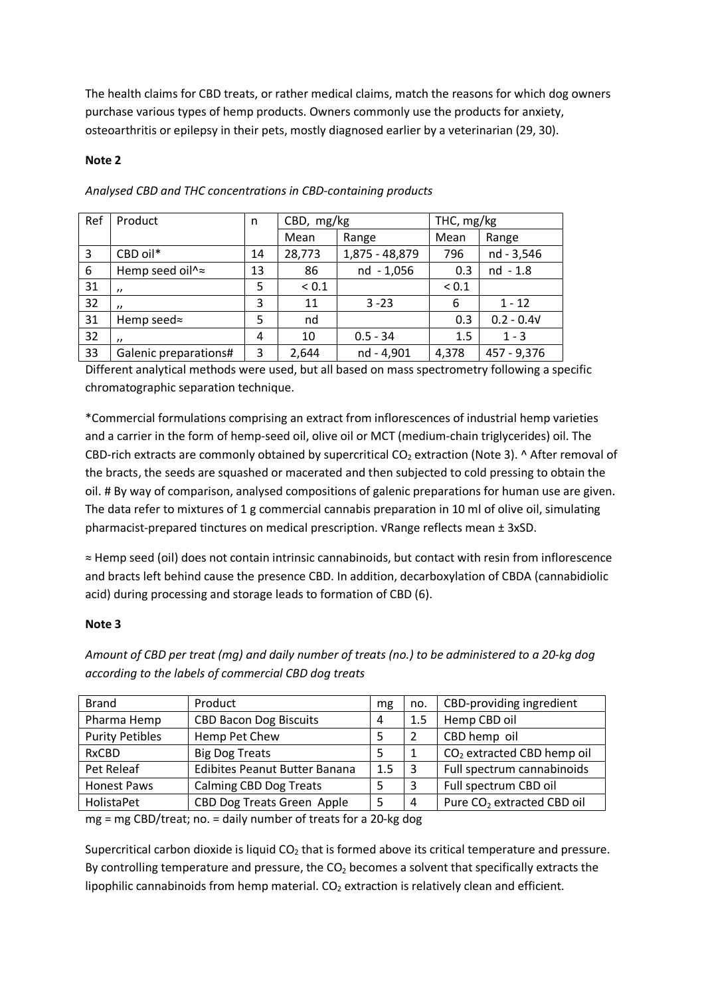The health claims for CBD treats, or rather medical claims, match the reasons for which dog owners purchase various types of hemp products. Owners commonly use the products for anxiety, osteoarthritis or epilepsy in their pets, mostly diagnosed earlier by a veterinarian (29, 30).

#### **Note 2**

| Ref | Product               | n  | CBD, mg/kg |                | THC, mg/kg |              |
|-----|-----------------------|----|------------|----------------|------------|--------------|
|     |                       |    | Mean       | Range          | Mean       | Range        |
| 3   | CBD oil*              | 14 | 28,773     | 1,875 - 48,879 | 796        | nd - 3,546   |
| 6   | Hemp seed oil^≈       | 13 | 86         | nd - 1,056     | 0.3        | nd - 1.8     |
| 31  | $^{\prime\prime}$     | 5  | ${}_{0.1}$ |                | ${}_{0.1}$ |              |
| 32  | $^{\prime}$           | 3  | 11         | $3 - 23$       | 6          | $1 - 12$     |
| 31  | Hemp seed $\approx$   | 5  | nd         |                | 0.3        | $0.2 - 0.4V$ |
| 32  | $^{\prime\prime}$     | 4  | 10         | $0.5 - 34$     | 1.5        | $1 - 3$      |
| 33  | Galenic preparations# | 3  | 2,644      | nd - 4,901     | 4,378      | 457 - 9,376  |

*Analysed CBD and THC concentrations in CBD-containing products* 

Different analytical methods were used, but all based on mass spectrometry following a specific chromatographic separation technique.

\*Commercial formulations comprising an extract from inflorescences of industrial hemp varieties and a carrier in the form of hemp-seed oil, olive oil or MCT (medium-chain triglycerides) oil. The CBD-rich extracts are commonly obtained by supercritical  $CO<sub>2</sub>$  extraction (Note 3). ^ After removal of the bracts, the seeds are squashed or macerated and then subjected to cold pressing to obtain the oil. # By way of comparison, analysed compositions of galenic preparations for human use are given. The data refer to mixtures of 1 g commercial cannabis preparation in 10 ml of olive oil, simulating pharmacist-prepared tinctures on medical prescription. √Range reflects mean ± 3xSD.

≈ Hemp seed (oil) does not contain intrinsic cannabinoids, but contact with resin from inflorescence and bracts left behind cause the presence CBD. In addition, decarboxylation of CBDA (cannabidiolic acid) during processing and storage leads to formation of CBD (6).

### **Note 3**

*Amount of CBD per treat (mg) and daily number of treats (no.) to be administered to a 20-kg dog according to the labels of commercial CBD dog treats*

| <b>Brand</b>                                                                                                        | Product                           | mg  | no. | CBD-providing ingredient               |  |  |  |
|---------------------------------------------------------------------------------------------------------------------|-----------------------------------|-----|-----|----------------------------------------|--|--|--|
| Pharma Hemp                                                                                                         | <b>CBD Bacon Dog Biscuits</b>     | 4   | 1.5 | Hemp CBD oil                           |  |  |  |
| <b>Purity Petibles</b>                                                                                              | Hemp Pet Chew                     | 5   |     | CBD hemp oil                           |  |  |  |
| <b>RxCBD</b>                                                                                                        | <b>Big Dog Treats</b>             | 5   |     | CO <sub>2</sub> extracted CBD hemp oil |  |  |  |
| Pet Releaf                                                                                                          | Edibites Peanut Butter Banana     | 1.5 | 3   | Full spectrum cannabinoids             |  |  |  |
| <b>Honest Paws</b>                                                                                                  | <b>Calming CBD Dog Treats</b>     |     |     | Full spectrum CBD oil                  |  |  |  |
| HolistaPet                                                                                                          | <b>CBD Dog Treats Green Apple</b> | 5   | 4   | Pure CO <sub>2</sub> extracted CBD oil |  |  |  |
| $\mathcal{L}$ and $\mathcal{L}$ is the contract of $\mathcal{L}$ and $\mathcal{L}$ is the contract of $\mathcal{L}$ |                                   |     |     |                                        |  |  |  |

mg = mg CBD/treat; no. = daily number of treats for a 20-kg dog

Supercritical carbon dioxide is liquid  $CO<sub>2</sub>$  that is formed above its critical temperature and pressure. By controlling temperature and pressure, the  $CO<sub>2</sub>$  becomes a solvent that specifically extracts the lipophilic cannabinoids from hemp material.  $CO<sub>2</sub>$  extraction is relatively clean and efficient.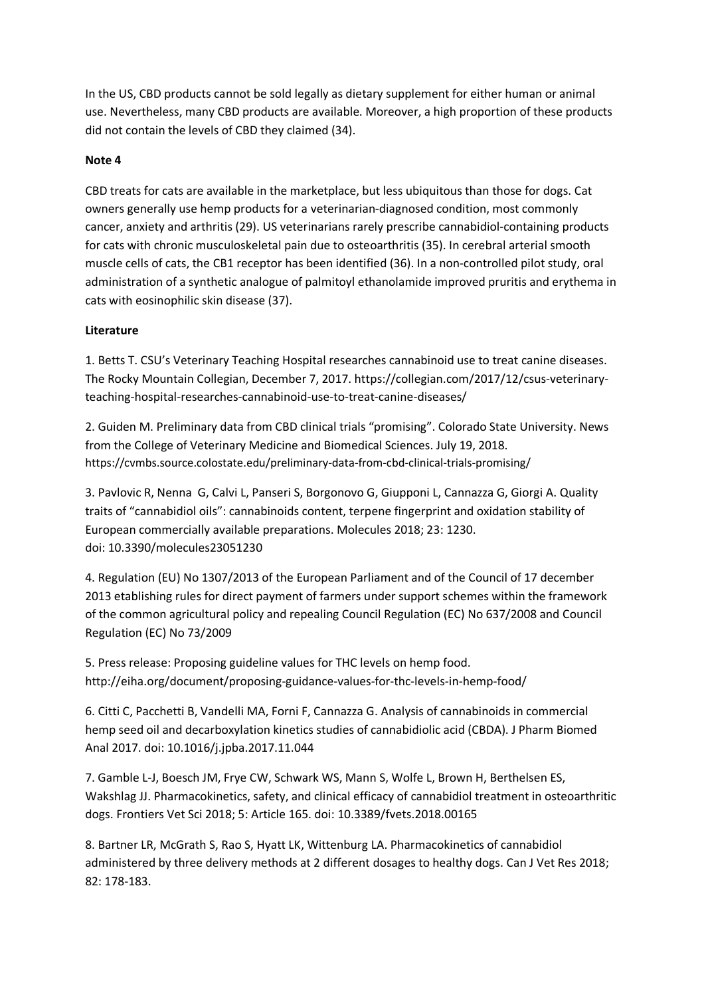In the US, CBD products cannot be sold legally as dietary supplement for either human or animal use. Nevertheless, many CBD products are available. Moreover, a high proportion of these products did not contain the levels of CBD they claimed (34).

#### **Note 4**

CBD treats for cats are available in the marketplace, but less ubiquitous than those for dogs. Cat owners generally use hemp products for a veterinarian-diagnosed condition, most commonly cancer, anxiety and arthritis (29). US veterinarians rarely prescribe cannabidiol-containing products for cats with chronic musculoskeletal pain due to osteoarthritis (35). In cerebral arterial smooth muscle cells of cats, the CB1 receptor has been identified (36). In a non-controlled pilot study, oral administration of a synthetic analogue of palmitoyl ethanolamide improved pruritis and erythema in cats with eosinophilic skin disease (37).

### **Literature**

1. Betts T. CSU's Veterinary Teaching Hospital researches cannabinoid use to treat canine diseases. The Rocky Mountain Collegian, December 7, 2017. https://collegian.com/2017/12/csus-veterinaryteaching-hospital-researches-cannabinoid-use-to-treat-canine-diseases/

2. Guiden M. Preliminary data from CBD clinical trials "promising". Colorado State University. News from the College of Veterinary Medicine and Biomedical Sciences. July 19, 2018. https://cvmbs.source.colostate.edu/preliminary-data-from-cbd-clinical-trials-promising/

3. Pavlovic R, Nenna G, Calvi L, Panseri S, Borgonovo G, Giupponi L, Cannazza G, Giorgi A. Quality traits of "cannabidiol oils": cannabinoids content, terpene fingerprint and oxidation stability of European commercially available preparations. Molecules 2018; 23: 1230. doi: 10.3390/molecules23051230

4. Regulation (EU) No 1307/2013 of the European Parliament and of the Council of 17 december 2013 etablishing rules for direct payment of farmers under support schemes within the framework of the common agricultural policy and repealing Council Regulation (EC) No 637/2008 and Council Regulation (EC) No 73/2009

5. Press release: Proposing guideline values for THC levels on hemp food. http://eiha.org/document/proposing-guidance-values-for-thc-levels-in-hemp-food/

6. Citti C, Pacchetti B, Vandelli MA, Forni F, Cannazza G. Analysis of cannabinoids in commercial hemp seed oil and decarboxylation kinetics studies of cannabidiolic acid (CBDA). J Pharm Biomed Anal 2017. doi: 10.1016/j.jpba.2017.11.044

7. Gamble L-J, Boesch JM, Frye CW, Schwark WS, Mann S, Wolfe L, Brown H, Berthelsen ES, Wakshlag JJ. Pharmacokinetics, safety, and clinical efficacy of cannabidiol treatment in osteoarthritic dogs. Frontiers Vet Sci 2018; 5: Article 165. doi: 10.3389/fvets.2018.00165

8. Bartner LR, McGrath S, Rao S, Hyatt LK, Wittenburg LA. Pharmacokinetics of cannabidiol administered by three delivery methods at 2 different dosages to healthy dogs. Can J Vet Res 2018; 82: 178-183.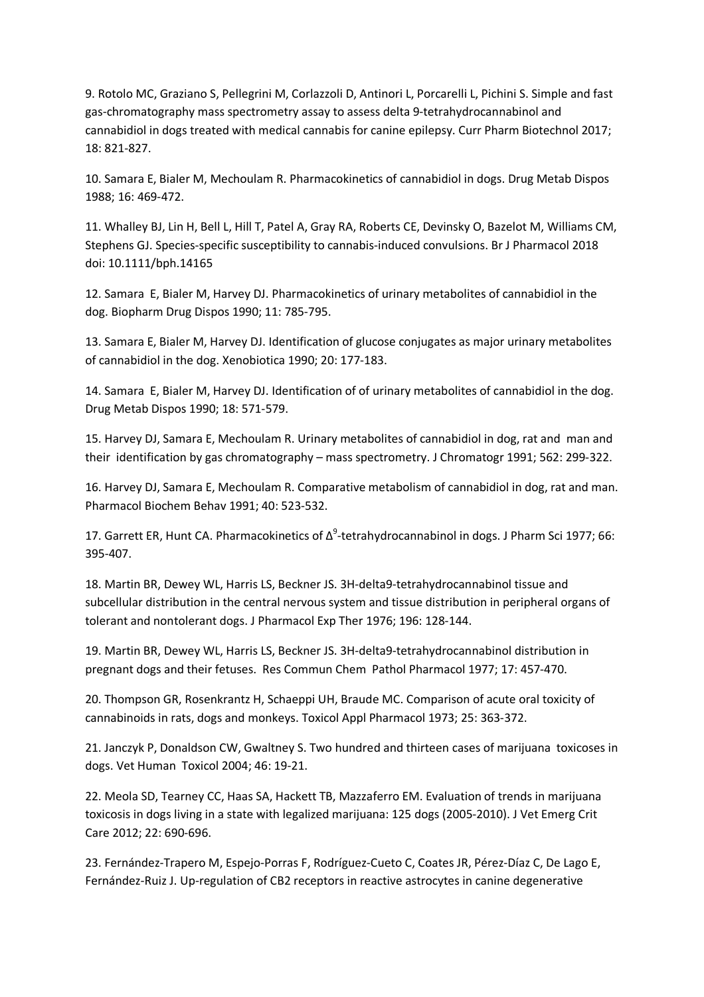9. Rotolo MC, Graziano S, Pellegrini M, Corlazzoli D, Antinori L, Porcarelli L, Pichini S. Simple and fast gas-chromatography mass spectrometry assay to assess delta 9-tetrahydrocannabinol and cannabidiol in dogs treated with medical cannabis for canine epilepsy. Curr Pharm Biotechnol 2017; 18: 821-827.

10. Samara E, Bialer M, Mechoulam R. Pharmacokinetics of cannabidiol in dogs. Drug Metab Dispos 1988; 16: 469-472.

11. Whalley BJ, Lin H, Bell L, Hill T, Patel A, Gray RA, Roberts CE, Devinsky O, Bazelot M, Williams CM, Stephens GJ. Species-specific susceptibility to cannabis-induced convulsions. Br J Pharmacol 2018 doi: 10.1111/bph.14165

12. Samara E, Bialer M, Harvey DJ. Pharmacokinetics of urinary metabolites of cannabidiol in the dog. Biopharm Drug Dispos 1990; 11: 785-795.

13. Samara E, Bialer M, Harvey DJ. Identification of glucose conjugates as major urinary metabolites of cannabidiol in the dog. Xenobiotica 1990; 20: 177-183.

14. Samara E, Bialer M, Harvey DJ. Identification of of urinary metabolites of cannabidiol in the dog. Drug Metab Dispos 1990; 18: 571-579.

15. Harvey DJ, Samara E, Mechoulam R. Urinary metabolites of cannabidiol in dog, rat and man and their identification by gas chromatography – mass spectrometry. J Chromatogr 1991; 562: 299-322.

16. Harvey DJ, Samara E, Mechoulam R. Comparative metabolism of cannabidiol in dog, rat and man. Pharmacol Biochem Behav 1991; 40: 523-532.

17. Garrett ER, Hunt CA. Pharmacokinetics of  $\Delta^9$ -tetrahydrocannabinol in dogs. J Pharm Sci 1977; 66: 395-407.

18. Martin BR, Dewey WL, Harris LS, Beckner JS. 3H-delta9-tetrahydrocannabinol tissue and subcellular distribution in the central nervous system and tissue distribution in peripheral organs of tolerant and nontolerant dogs. J Pharmacol Exp Ther 1976; 196: 128-144.

19. Martin BR, Dewey WL, Harris LS, Beckner JS. 3H-delta9-tetrahydrocannabinol distribution in pregnant dogs and their fetuses. Res Commun Chem Pathol Pharmacol 1977; 17: 457-470.

20. Thompson GR, Rosenkrantz H, Schaeppi UH, Braude MC. Comparison of acute oral toxicity of cannabinoids in rats, dogs and monkeys. Toxicol Appl Pharmacol 1973; 25: 363-372.

21. Janczyk P, Donaldson CW, Gwaltney S. Two hundred and thirteen cases of marijuana toxicoses in dogs. Vet Human Toxicol 2004; 46: 19-21.

22. Meola SD, Tearney CC, Haas SA, Hackett TB, Mazzaferro EM. Evaluation of trends in marijuana toxicosis in dogs living in a state with legalized marijuana: 125 dogs (2005-2010). J Vet Emerg Crit Care 2012; 22: 690-696.

23. Fernández-Trapero M, Espejo-Porras F, Rodríguez-Cueto C, Coates JR, Pérez-Díaz C, De Lago E, Fernández-Ruiz J. Up-regulation of CB2 receptors in reactive astrocytes in canine degenerative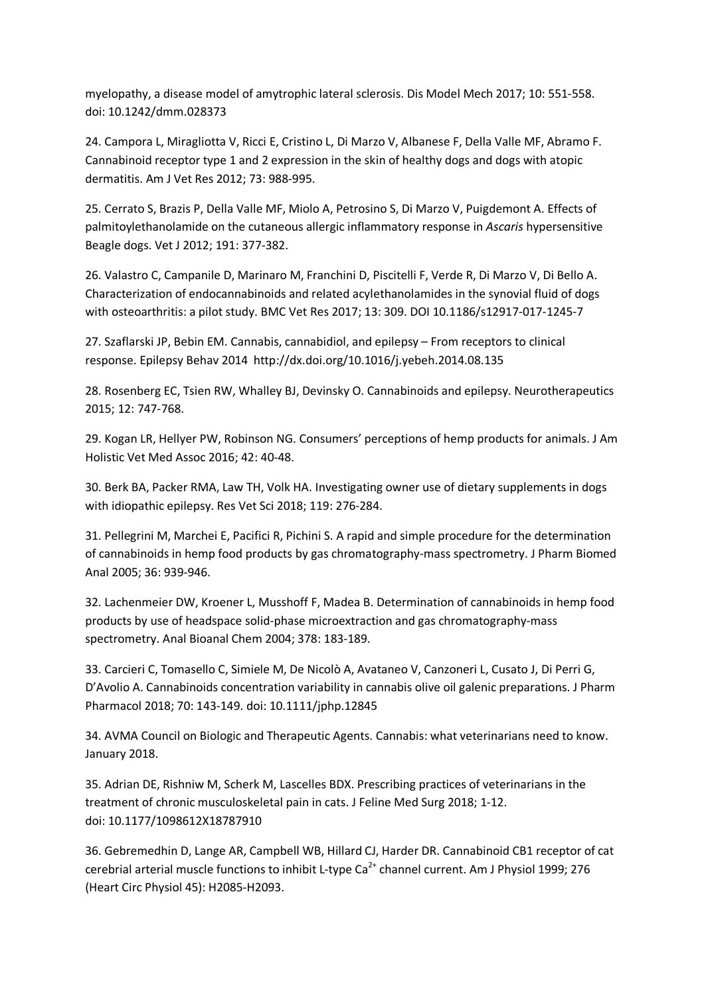myelopathy, a disease model of amytrophic lateral sclerosis. Dis Model Mech 2017; 10: 551-558. doi: 10.1242/dmm.028373

24. Campora L, Miragliotta V, Ricci E, Cristino L, Di Marzo V, Albanese F, Della Valle MF, Abramo F. Cannabinoid receptor type 1 and 2 expression in the skin of healthy dogs and dogs with atopic dermatitis. Am J Vet Res 2012; 73: 988-995.

25. Cerrato S, Brazis P, Della Valle MF, Miolo A, Petrosino S, Di Marzo V, Puigdemont A. Effects of palmitoylethanolamide on the cutaneous allergic inflammatory response in *Ascaris* hypersensitive Beagle dogs. Vet J 2012; 191: 377-382.

26. Valastro C, Campanile D, Marinaro M, Franchini D, Piscitelli F, Verde R, Di Marzo V, Di Bello A. Characterization of endocannabinoids and related acylethanolamides in the synovial fluid of dogs with osteoarthritis: a pilot study. BMC Vet Res 2017; 13: 309. DOI 10.1186/s12917-017-1245-7

27. Szaflarski JP, Bebin EM. Cannabis, cannabidiol, and epilepsy – From receptors to clinical response. Epilepsy Behav 2014 http://dx.doi.org/10.1016/j.yebeh.2014.08.135

28. Rosenberg EC, Tsien RW, Whalley BJ, Devinsky O. Cannabinoids and epilepsy. Neurotherapeutics 2015; 12: 747-768.

29. Kogan LR, Hellyer PW, Robinson NG. Consumers' perceptions of hemp products for animals. J Am Holistic Vet Med Assoc 2016; 42: 40-48.

30. Berk BA, Packer RMA, Law TH, Volk HA. Investigating owner use of dietary supplements in dogs with idiopathic epilepsy. Res Vet Sci 2018; 119: 276-284.

31. Pellegrini M, Marchei E, Pacifici R, Pichini S. A rapid and simple procedure for the determination of cannabinoids in hemp food products by gas chromatography-mass spectrometry. J Pharm Biomed Anal 2005; 36: 939-946.

32. Lachenmeier DW, Kroener L, Musshoff F, Madea B. Determination of cannabinoids in hemp food products by use of headspace solid-phase microextraction and gas chromatography-mass spectrometry. Anal Bioanal Chem 2004; 378: 183-189.

33. Carcieri C, Tomasello C, Simiele M, De Nicolò A, Avataneo V, Canzoneri L, Cusato J, Di Perri G, D'Avolio A. Cannabinoids concentration variability in cannabis olive oil galenic preparations. J Pharm Pharmacol 2018; 70: 143-149. doi: 10.1111/jphp.12845

34. AVMA Council on Biologic and Therapeutic Agents. Cannabis: what veterinarians need to know. January 2018.

35. Adrian DE, Rishniw M, Scherk M, Lascelles BDX. Prescribing practices of veterinarians in the treatment of chronic musculoskeletal pain in cats. J Feline Med Surg 2018; 1-12. doi: 10.1177/1098612X18787910

36. Gebremedhin D, Lange AR, Campbell WB, Hillard CJ, Harder DR. Cannabinoid CB1 receptor of cat cerebrial arterial muscle functions to inhibit L-type Ca<sup>2+</sup> channel current. Am J Physiol 1999; 276 (Heart Circ Physiol 45): H2085-H2093.